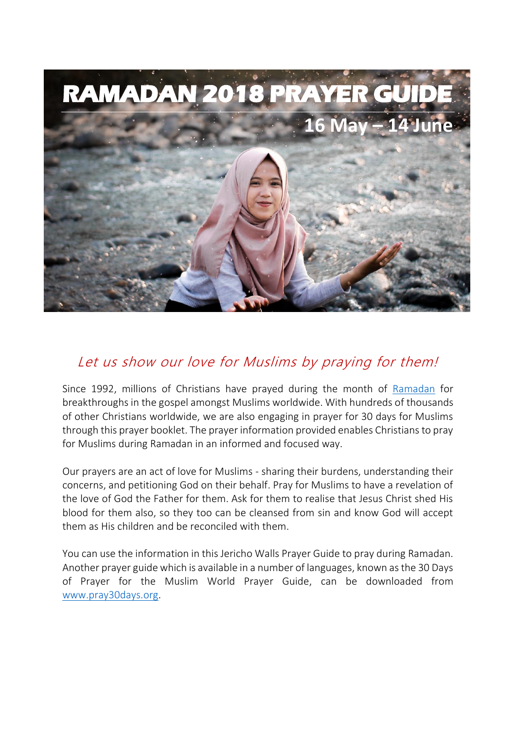

# Let us show our love for Muslims by praying for them!

Since 1992, millions of Christians have prayed during the month of [Ramadan](https://www.pray30days.org/learn/ramadan/history-of-ramadan/) for breakthroughs in the gospel amongst Muslims worldwide. With hundreds of thousands of other Christians worldwide, we are also engaging in prayer for 30 days for Muslims through this prayer booklet. The prayer information provided enables Christians to pray for Muslims during Ramadan in an informed and focused way.

Our prayers are an act of love for Muslims - sharing their burdens, understanding their concerns, and petitioning God on their behalf. Pray for Muslims to have a revelation of the love of God the Father for them. Ask for them to realise that Jesus Christ shed His blood for them also, so they too can be cleansed from sin and know God will accept them as His children and be reconciled with them.

You can use the information in this Jericho Walls Prayer Guide to pray during Ramadan. Another prayer guide which is available in a number of languages, known as the 30 Days of Prayer for the Muslim World Prayer Guide, can be downloaded from [www.pray30days.org.](https://www.pray30days.org/)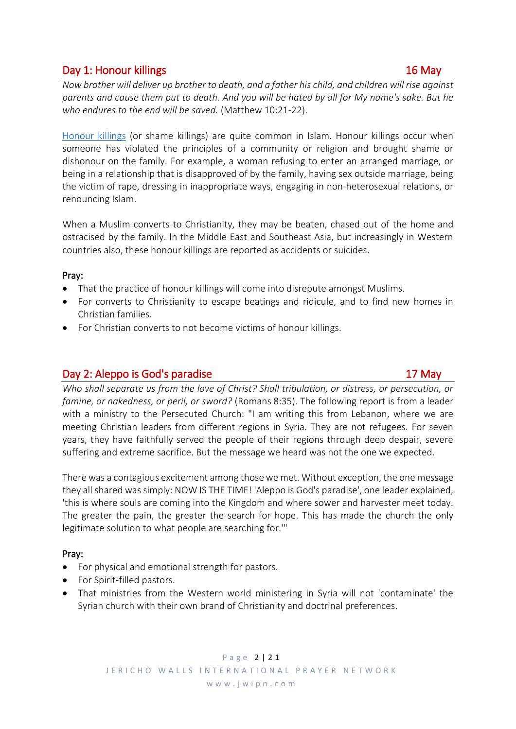# Day 1: Honour killings 16 May 16 May 16 May 16 May 16 May 16 May 16 May 16 May 16 May 16 May 16 May 16 May 16 May 16 May 16 May 16 May 16 May 16 May 16 May 16 May 16 May 16 May 16 May 17 May 17 May 17 May 17 May 17 May 17

*Now brother will deliver up brother to death, and a father his child, and children will rise against parents and cause them put to death. And you will be hated by all for My name's sake. But he who endures to the end will be saved.* (Matthew 10:21-22).

[Honour killings](https://en.wikipedia.org/wiki/Honor_killing) (or shame killings) are quite common in Islam. Honour killings occur when someone has violated the principles of a community or religion and brought shame or dishonour on the family. For example, a woman refusing to enter an arranged marriage, or being in a relationship that is disapproved of by the family, having sex outside marriage, being the victim of rape, dressing in inappropriate ways, engaging in non-heterosexual relations, or renouncing Islam.

When a Muslim converts to Christianity, they may be beaten, chased out of the home and ostracised by the family. In the Middle East and Southeast Asia, but increasingly in Western countries also, these honour killings are reported as accidents or suicides.

## Pray:

- That the practice of honour killings will come into disrepute amongst Muslims.
- For converts to Christianity to escape beatings and ridicule, and to find new homes in Christian families.
- For Christian converts to not become victims of honour killings.

# Day 2: Aleppo is God's paradise 17 May 17 May

*Who shall separate us from the love of Christ? Shall tribulation, or distress, or persecution, or famine, or nakedness, or peril, or sword?* (Romans 8:35). The following report is from a leader with a ministry to the Persecuted Church: "I am writing this from Lebanon, where we are meeting Christian leaders from different regions in Syria. They are not refugees. For seven years, they have faithfully served the people of their regions through deep despair, severe suffering and extreme sacrifice. But the message we heard was not the one we expected.

There was a contagious excitement among those we met. Without exception, the one message they all shared was simply: NOW IS THE TIME! 'Aleppo is God's paradise', one leader explained, 'this is where souls are coming into the Kingdom and where sower and harvester meet today. The greater the pain, the greater the search for hope. This has made the church the only legitimate solution to what people are searching for.'"

# Pray:

- For physical and emotional strength for pastors.
- For Spirit-filled pastors.
- That ministries from the Western world ministering in Syria will not 'contaminate' the Syrian church with their own brand of Christianity and doctrinal preferences.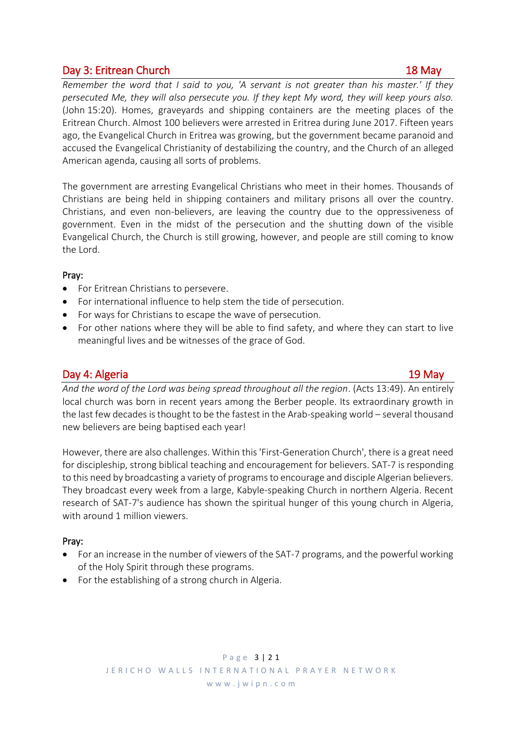# Day 3: Eritrean Church 18 May

*Remember the word that I said to you, 'A servant is not greater than his master.' If they persecuted Me, they will also persecute you. If they kept My word, they will keep yours also.* (John 15:20). Homes, graveyards and shipping containers are the meeting places of the Eritrean Church. Almost 100 believers were arrested in Eritrea during June 2017. Fifteen years ago, the Evangelical Church in Eritrea was growing, but the government became paranoid and accused the Evangelical Christianity of destabilizing the country, and the Church of an alleged American agenda, causing all sorts of problems.

The government are arresting Evangelical Christians who meet in their homes. Thousands of Christians are being held in shipping containers and military prisons all over the country. Christians, and even non-believers, are leaving the country due to the oppressiveness of government. Even in the midst of the persecution and the shutting down of the visible Evangelical Church, the Church is still growing, however, and people are still coming to know the Lord.

## Pray:

- For Eritrean Christians to persevere.
- For international influence to help stem the tide of persecution.
- For ways for Christians to escape the wave of persecution.
- For other nations where they will be able to find safety, and where they can start to live meaningful lives and be witnesses of the grace of God.

# Day 4: Algeria 2008 19 May 20 May 20 May 20 May 20 May 20 May 20 May 20 May 20 May 20 May 20 May 20 May 20 May

*And the word of the Lord was being spread throughout all the region*. (Acts 13:49). An entirely local church was born in recent years among the Berber people. Its extraordinary growth in the last few decades is thought to be the fastest in the Arab-speaking world – several thousand new believers are being baptised each year!

However, there are also challenges. Within this 'First-Generation Church', there is a great need for discipleship, strong biblical teaching and encouragement for believers. [SAT-7](http://jwipn.us4.list-manage1.com/track/click?u=56487d5c0f8c63b38489fd6fc&id=272c120d89&e=f37fab954c) is responding to this need by broadcasting a variety of programs to encourage and disciple Algerian believers. They broadcast every week from a large, Kabyle-speaking Church in northern Algeria. Recent research of SAT-7's audience has shown the spiritual hunger of this young church in Algeria, with around 1 million viewers.

# Pray:

- For an increase in the number of viewers of the SAT-7 programs, and the powerful working of the Holy Spirit through these programs.
- For the establishing of a strong church in Algeria.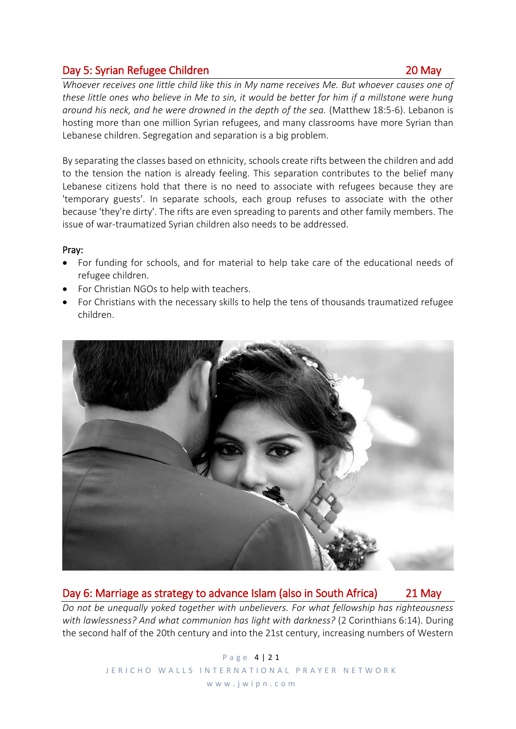# Day 5: Syrian Refugee Children 20 May

# *Whoever receives one little child like this in My name receives Me. But whoever causes one of these little ones who believe in Me to sin, it would be better for him if a millstone were hung around his neck, and he were drowned in the depth of the sea.* (Matthew 18:5-6). Lebanon is hosting more than one million Syrian refugees, and many classrooms have more Syrian than

By separating the classes based on ethnicity, schools create rifts between the children and add to the tension the nation is already feeling. This separation contributes to the belief many Lebanese citizens hold that there is no need to associate with refugees because they are 'temporary guests'. In separate schools, each group refuses to associate with the other because 'they're dirty'. The rifts are even spreading to parents and other family members. The issue of war-traumatized Syrian children also needs to be addressed.

## Pray:

- For funding for schools, and for material to help take care of the educational needs of refugee children.
- For Christian NGOs to help with teachers.

Lebanese children. Segregation and separation is a big problem.

• For Christians with the necessary skills to help the tens of thousands traumatized refugee children.



# Day 6: Marriage as strategy to advance Islam (also in South Africa) 21 May

*Do not be unequally yoked together with unbelievers. For what fellowship has righteousness with lawlessness? And what communion has light with darkness?* (2 Corinthians 6:14). During the second half of the 20th century and into the 21st century, increasing numbers of Western

> P a g e 4 | 2 1 JERICHO WALLS INTERNATIONAL PRAYER NETWORK

## w w w . j w i p n . c o m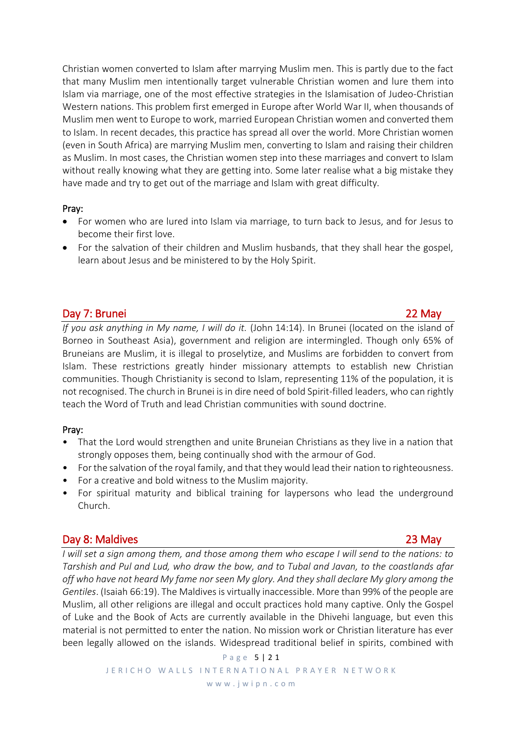Christian women converted to Islam after marrying Muslim men. This is partly due to the fact that many Muslim men intentionally target vulnerable Christian women and lure them into Islam via marriage, one of the most effective strategies in the Islamisation of Judeo-Christian Western nations. This problem first emerged in Europe after World War II, when thousands of Muslim men went to Europe to work, married European Christian women and converted them to Islam. In recent decades, this practice has spread all over the world. More Christian women (even in South Africa) are marrying Muslim men, converting to Islam and raising their children as Muslim. In most cases, the Christian women step into these marriages and convert to Islam without really knowing what they are getting into. Some later realise what a big mistake they have made and try to get out of the marriage and Islam with great difficulty.

## Pray:

- For women who are lured into Islam via marriage, to turn back to Jesus, and for Jesus to become their first love.
- For the salvation of their children and Muslim husbands, that they shall hear the gospel, learn about Jesus and be ministered to by the Holy Spirit.

# Day 7: Brunei 22 May

*If you ask anything in My name, I will do it.* (John 14:14). In Brunei (located on the island of Borneo in Southeast Asia), government and religion are intermingled. Though only 65% of Bruneians are Muslim, it is illegal to proselytize, and Muslims are forbidden to convert from Islam. These restrictions greatly hinder missionary attempts to establish new Christian communities. Though Christianity is second to Islam, representing 11% of the population, it is not recognised. The church in Brunei is in dire need of bold Spirit-filled leaders, who can rightly teach the Word of Truth and lead Christian communities with sound doctrine.

## Pray:

- That the Lord would strengthen and unite Bruneian Christians as they live in a nation that strongly opposes them, being continually shod with the armour of God.
- For the salvation of the royal family, and that they would lead their nation to righteousness.
- For a creative and bold witness to the Muslim majority.
- For spiritual maturity and biblical training for laypersons who lead the underground Church.

# Day 8: Maldives 23 May

*I* will set a sign among them, and those among them who escape I will send to the nations: to *Tarshish and Pul and Lud, who draw the bow, and to Tubal and Javan, to the coastlands afar off who have not heard My fame nor seen My glory. And they shall declare My glory among the Gentiles*. (Isaiah 66:19). The Maldives is virtually inaccessible. More than 99% of the people are Muslim, all other religions are illegal and occult practices hold many captive. Only the Gospel of Luke and the Book of Acts are currently available in the Dhivehi language, but even this material is not permitted to enter the nation. No mission work or Christian literature has ever been legally allowed on the islands. Widespread traditional belief in spirits, combined with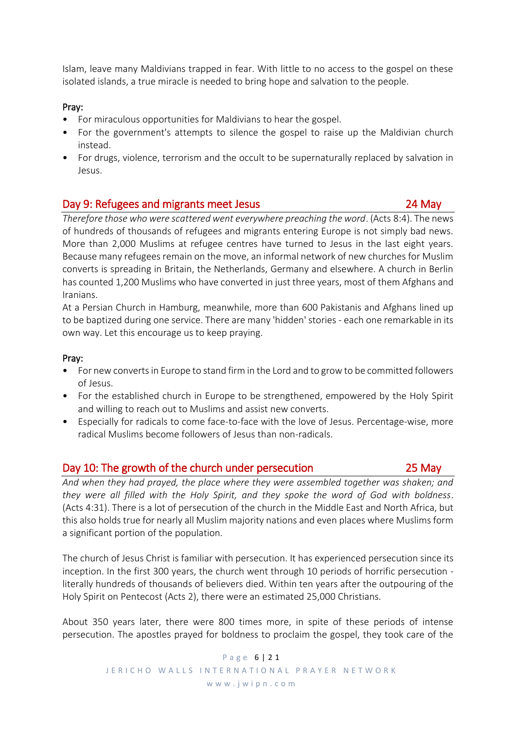Islam, leave many Maldivians trapped in fear. With little to no access to the gospel on these isolated islands, a true miracle is needed to bring hope and salvation to the people.

## Pray:

- For miraculous opportunities for Maldivians to hear the gospel.
- For the government's attempts to silence the gospel to raise up the Maldivian church instead.
- For drugs, violence, terrorism and the occult to be supernaturally replaced by salvation in Jesus.

## Day 9: Refugees and migrants meet Jesus 24 May

*Therefore those who were scattered went everywhere preaching the word*. (Acts 8:4). The news of hundreds of thousands of refugees and migrants entering Europe is not simply bad news. More than 2,000 Muslims at refugee centres have turned to Jesus in the last eight years. Because many refugees remain on the move, an informal network of new churches for Muslim converts is spreading in Britain, the Netherlands, Germany and elsewhere. A church in Berlin has counted 1,200 Muslims who have converted in just three years, most of them Afghans and Iranians.

At a Persian Church in Hamburg, meanwhile, more than 600 Pakistanis and Afghans lined up to be baptized during one service. There are many 'hidden' stories - each one remarkable in its own way. Let this encourage us to keep praying.

## Pray:

- For new converts in Europe to stand firm in the Lord and to grow to be committed followers of Jesus.
- For the established church in Europe to be strengthened, empowered by the Holy Spirit and willing to reach out to Muslims and assist new converts.
- Especially for radicals to come face-to-face with the love of Jesus. Percentage-wise, more radical Muslims become followers of Jesus than non-radicals.

## Day 10: The growth of the church under persecution 25 May

*And when they had prayed, the place where they were assembled together was shaken; and they were all filled with the Holy Spirit, and they spoke the word of God with boldness*. (Acts 4:31). There is a lot of persecution of the church in the Middle East and North Africa, but this also holds true for nearly all Muslim majority nations and even places where Muslims form a significant portion of the population.

The church of Jesus Christ is familiar with persecution. It has experienced persecution since its inception. In the first 300 years, the church went through 10 periods of horrific persecution literally hundreds of thousands of believers died. Within ten years after the outpouring of the Holy Spirit on Pentecost (Acts 2), there were an estimated 25,000 Christians.

About 350 years later, there were 800 times more, in spite of these periods of intense persecution. The apostles prayed for boldness to proclaim the gospel, they took care of the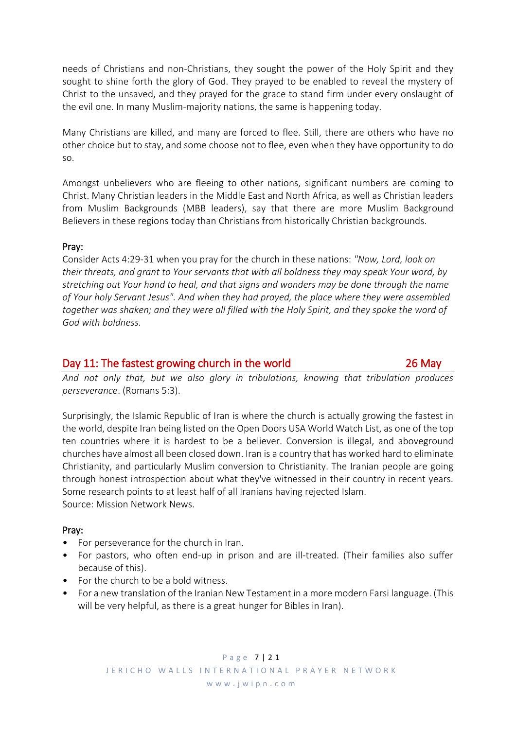needs of Christians and non-Christians, they sought the power of the Holy Spirit and they sought to shine forth the glory of God. They prayed to be enabled to reveal the mystery of Christ to the unsaved, and they prayed for the grace to stand firm under every onslaught of the evil one. In many Muslim-majority nations, the same is happening today.

Many Christians are killed, and many are forced to flee. Still, there are others who have no other choice but to stay, and some choose not to flee, even when they have opportunity to do so.

Amongst unbelievers who are fleeing to other nations, significant numbers are coming to Christ. Many Christian leaders in the Middle East and North Africa, as well as Christian leaders from Muslim Backgrounds (MBB leaders), say that there are more Muslim Background Believers in these regions today than Christians from historically Christian backgrounds.

## Pray:

Consider Acts 4:29-31 when you pray for the church in these nations: *"Now, Lord, look on their threats, and grant to Your servants that with all boldness they may speak Your word, by stretching out Your hand to heal, and that signs and wonders may be done through the name of Your holy Servant Jesus". And when they had prayed, the place where they were assembled together was shaken; and they were all filled with the Holy Spirit, and they spoke the word of God with boldness.*

## Day 11: The fastest growing church in the world 26 May

*And not only that, but we also glory in tribulations, knowing that tribulation produces perseverance*. (Romans 5:3).

Surprisingly, the Islamic Republic of Iran is where the church is actually growing the fastest in the world, despite Iran being listed on the Open Doors USA World Watch List, as one of the top ten countries where it is hardest to be a believer. Conversion is illegal, and aboveground churches have almost all been closed down. Iran is a country that has worked hard to eliminate Christianity, and particularly Muslim conversion to Christianity. The Iranian people are going through honest introspection about what they've witnessed in their country in recent years. Some research points to at least half of all Iranians having rejected Islam. Source: Mission Network News.

## Pray:

- For perseverance for the church in Iran.
- For pastors, who often end-up in prison and are ill-treated. (Their families also suffer because of this).
- For the church to be a bold witness.
- For a new translation of the Iranian New Testament in a more modern Farsi language. (This will be very helpful, as there is a great hunger for Bibles in Iran).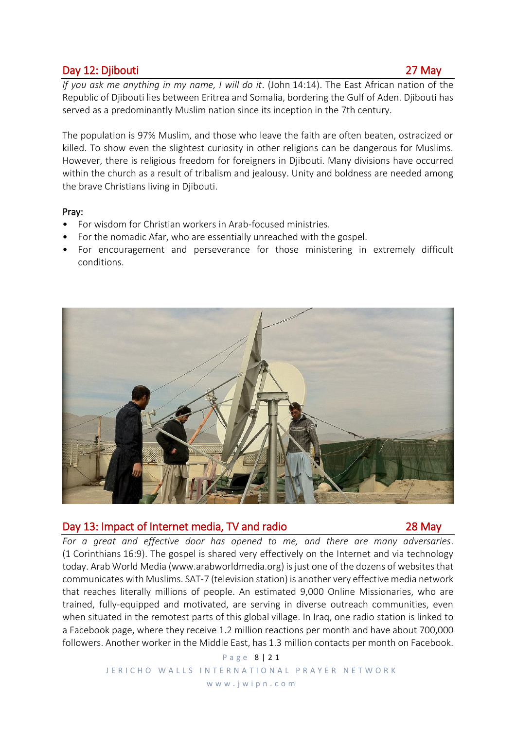# Day 12: Djibouti 27 May

*If you ask me anything in my name, I will do it*. (John 14:14). The East African nation of the Republic of Djibouti lies between Eritrea and Somalia, bordering the Gulf of Aden. Djibouti has served as a predominantly Muslim nation since its inception in the 7th century.

The population is 97% Muslim, and those who leave the faith are often beaten, ostracized or killed. To show even the slightest curiosity in other religions can be dangerous for Muslims. However, there is religious freedom for foreigners in Djibouti. Many divisions have occurred within the church as a result of tribalism and jealousy. Unity and boldness are needed among the brave Christians living in Djibouti.

## Pray:

- For wisdom for Christian workers in Arab-focused ministries.
- For the nomadic Afar, who are essentially unreached with the gospel.
- For encouragement and perseverance for those ministering in extremely difficult conditions.



## Day 13: Impact of Internet media, TV and radio 28 May

*For a great and effective door has opened to me, and there are many adversaries*. (1 Corinthians 16:9). The gospel is shared very effectively on the Internet and via technology today. Arab World Media [\(www.arabworldmedia.org\)](http://jwipn.us4.list-manage.com/track/click?u=56487d5c0f8c63b38489fd6fc&id=ffbee81927&e=f37fab954c) is just one of the dozens of websites that communicates with Muslims. SAT-7 (television station) is another very effective media network that reaches literally millions of people. An estimated 9,000 Online Missionaries, who are trained, fully-equipped and motivated, are serving in diverse outreach communities, even when situated in the remotest parts of this global village. In Iraq, one radio station is linked to a Facebook page, where they receive 1.2 million reactions per month and have about 700,000 followers. Another worker in the Middle East, has 1.3 million contacts per month on Facebook.

> P a g e 8 | 2 1 JERICHO WALLS INTERNATIONAL PRAYER NETWORK

w w w . j w i p n . c o m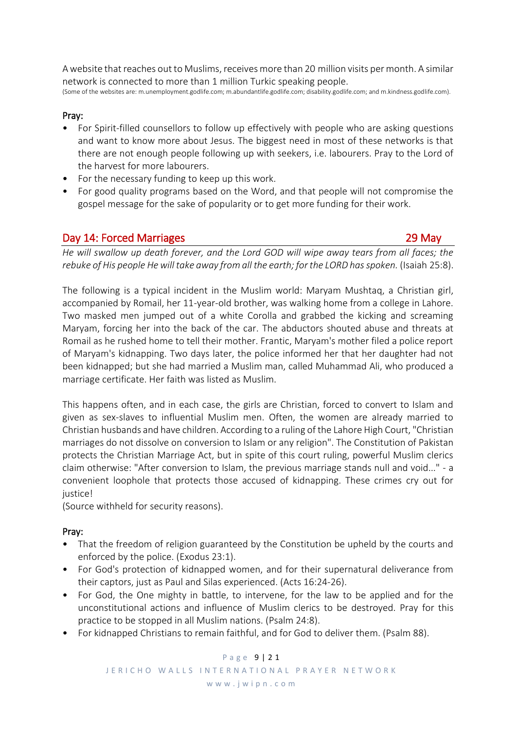A website that reaches out to Muslims, receives more than 20 million visits per month. A similar network is connected to more than 1 million Turkic speaking people.

(Some of the websites are: m.unemployment.godlife.com; m.abundantlife.godlife.com; disability.godlife.com; and m.kindness.godlife.com).

## Pray:

- For Spirit-filled counsellors to follow up effectively with people who are asking questions and want to know more about Jesus. The biggest need in most of these networks is that there are not enough people following up with seekers, i.e. labourers. Pray to the Lord of the harvest for more labourers.
- For the necessary funding to keep up this work.
- For good quality programs based on the Word, and that people will not compromise the gospel message for the sake of popularity or to get more funding for their work.

# Day 14: Forced Marriages 29 May

*He will swallow up death forever, and the Lord GOD will wipe away tears from all faces; the rebuke of His people He will take away from all the earth; for the LORD has spoken.* (Isaiah 25:8).

The following is a typical incident in the Muslim world: Maryam Mushtaq, a Christian girl, accompanied by Romail, her 11-year-old brother, was walking home from a college in Lahore. Two masked men jumped out of a white Corolla and grabbed the kicking and screaming Maryam, forcing her into the back of the car. The abductors shouted abuse and threats at Romail as he rushed home to tell their mother. Frantic, Maryam's mother filed a police report of Maryam's kidnapping. Two days later, the police informed her that her daughter had not been kidnapped; but she had married a Muslim man, called Muhammad Ali, who produced a marriage certificate. Her faith was listed as Muslim.

This happens often, and in each case, the girls are Christian, forced to convert to Islam and given as sex-slaves to influential Muslim men. Often, the women are already married to Christian husbands and have children. According to a ruling of the Lahore High Court, "Christian marriages do not dissolve on conversion to Islam or any religion". The Constitution of Pakistan protects the Christian Marriage Act, but in spite of this court ruling, powerful Muslim clerics claim otherwise: "After conversion to Islam, the previous marriage stands null and void..." - a convenient loophole that protects those accused of kidnapping. These crimes cry out for justice!

(Source withheld for security reasons).

## Pray:

- That the freedom of religion guaranteed by the Constitution be upheld by the courts and enforced by the police. [\(Exodus](http://jwipn.us4.list-manage.com/track/click?u=56487d5c0f8c63b38489fd6fc&id=67dda83efb&e=f37fab954c) 23:1).
- For God's protection of kidnapped women, and for their supernatural deliverance from their captors, just as Paul and Silas experienced. (Acts [16:24-26\)](http://jwipn.us4.list-manage1.com/track/click?u=56487d5c0f8c63b38489fd6fc&id=5696e5fa83&e=f37fab954c).
- For God, the One mighty in battle, to intervene, for the law to be applied and for the unconstitutional actions and influence of Muslim clerics to be destroyed. Pray for this practice to be stopped in all Muslim nations. [\(Psalm](http://jwipn.us4.list-manage.com/track/click?u=56487d5c0f8c63b38489fd6fc&id=8c33cffc9b&e=f37fab954c) 24:8).
- For kidnapped Christians to remain faithful, and for God to deliver them. [\(Psalm](http://jwipn.us4.list-manage1.com/track/click?u=56487d5c0f8c63b38489fd6fc&id=cd98f833ab&e=f37fab954c) 88).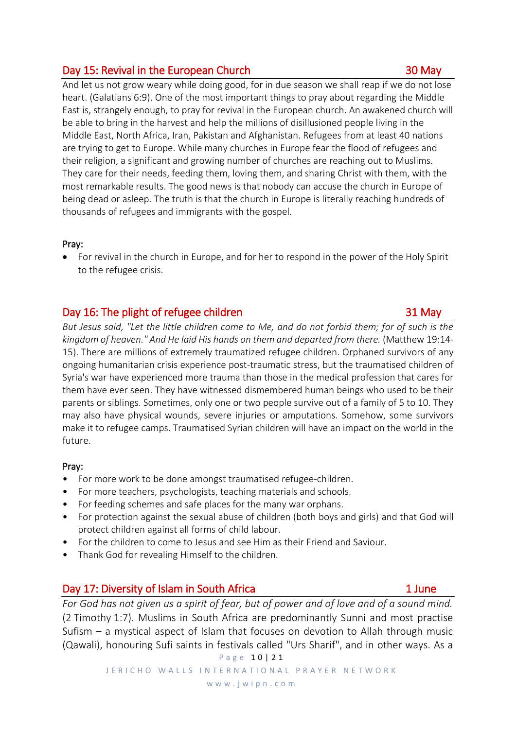# Day 15: Revival in the European Church 30 May 30 May

And let us not grow weary while doing good, for in due season we shall reap if we do not lose heart. (Galatians 6:9). One of the most important things to pray about regarding the Middle East is, strangely enough, to pray for revival in the European church. An awakened church will be able to bring in the harvest and help the millions of disillusioned people living in the Middle East, North Africa, Iran, Pakistan and Afghanistan. Refugees from at least 40 nations are trying to get to Europe. While many churches in Europe fear the flood of refugees and their religion, a significant and growing number of churches are reaching out to Muslims. They care for their needs, feeding them, loving them, and sharing Christ with them, with the most remarkable results. The good news is that nobody can accuse the church in Europe of being dead or asleep. The truth is that the church in Europe is literally reaching hundreds of thousands of refugees and immigrants with the gospel.

## Pray:

• For revival in the church in Europe, and for her to respond in the power of the Holy Spirit to the refugee crisis.

# Day 16: The plight of refugee children 31 May

*But Jesus said, "Let the little children come to Me, and do not forbid them; for of such is the kingdom of heaven." And He laid His hands on them and departed from there.* (Matthew 19:14- 15). There are millions of extremely traumatized refugee children. Orphaned survivors of any ongoing humanitarian crisis experience post-traumatic stress, but the traumatised children of Syria's war have experienced more trauma than those in the medical profession that cares for them have ever seen. They have witnessed dismembered human beings who used to be their parents or siblings. Sometimes, only one or two people survive out of a family of 5 to 10. They may also have physical wounds, severe injuries or amputations. Somehow, some survivors make it to refugee camps. Traumatised Syrian children will have an impact on the world in the future.

## Pray:

- For more work to be done amongst traumatised refugee-children.
- For more teachers, psychologists, teaching materials and schools.
- For feeding schemes and safe places for the many war orphans.
- For protection against the sexual abuse of children (both boys and girls) and that God will protect children against all forms of child labour.
- For the children to come to Jesus and see Him as their Friend and Saviour.
- Thank God for revealing Himself to the children.

# Day 17: Diversity of Islam in South Africa 1 June 1 June

P a g e 1 0 | 2 1 *For God has not given us a spirit of fear, but of power and of love and of a sound mind.* (2 Timothy 1:7). Muslims in South Africa are predominantly Sunni and most practise Sufism – a mystical aspect of Islam that focuses on devotion to Allah through music (Qawali), honouring Sufi saints in festivals called "Urs Sharif", and in other ways. As a

JERICHO WALLS INTERNATIONAL PRAYER NETWORK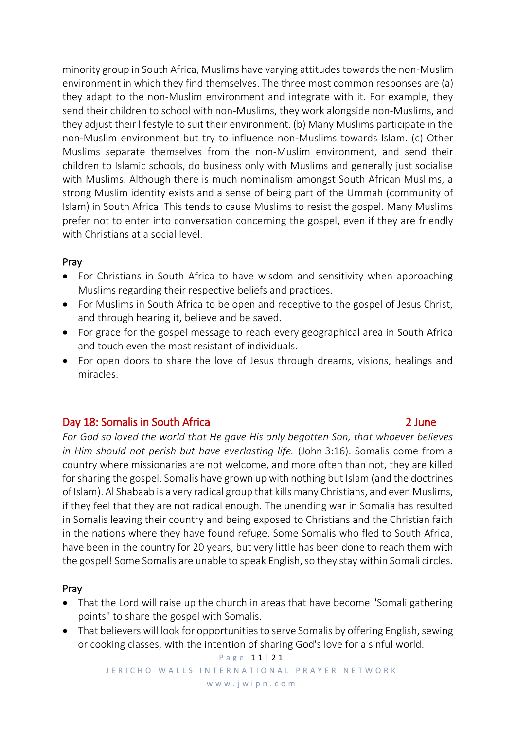minority group in South Africa, Muslims have varying attitudes towards the non-Muslim environment in which they find themselves. The three most common responses are (a) they adapt to the non-Muslim environment and integrate with it. For example, they send their children to school with non-Muslims, they work alongside non-Muslims, and they adjust their lifestyle to suit their environment. (b) Many Muslims participate in the non-Muslim environment but try to influence non-Muslims towards Islam. (c) Other Muslims separate themselves from the non-Muslim environment, and send their children to Islamic schools, do business only with Muslims and generally just socialise with Muslims. Although there is much nominalism amongst South African Muslims, a strong Muslim identity exists and a sense of being part of the Ummah (community of Islam) in South Africa. This tends to cause Muslims to resist the gospel. Many Muslims prefer not to enter into conversation concerning the gospel, even if they are friendly with Christians at a social level.

# Pray

- For Christians in South Africa to have wisdom and sensitivity when approaching Muslims regarding their respective beliefs and practices.
- For Muslims in South Africa to be open and receptive to the gospel of Jesus Christ, and through hearing it, believe and be saved.
- For grace for the gospel message to reach every geographical area in South Africa and touch even the most resistant of individuals.
- For open doors to share the love of Jesus through dreams, visions, healings and miracles.

# Day 18: Somalis in South Africa 2 June

*For God so loved the world that He gave His only begotten Son, that whoever believes in Him should not perish but have everlasting life.* (John 3:16). Somalis come from a country where missionaries are not welcome, and more often than not, they are killed for sharing the gospel. Somalis have grown up with nothing but Islam (and the doctrines of Islam). Al Shabaab is a very radical group that kills many Christians, and even Muslims, if they feel that they are not radical enough. The unending war in Somalia has resulted in Somalis leaving their country and being exposed to Christians and the Christian faith in the nations where they have found refuge. Some Somalis who fled to South Africa, have been in the country for 20 years, but very little has been done to reach them with the gospel! Some Somalis are unable to speak English, so they stay within Somali circles.

# Pray

- That the Lord will raise up the church in areas that have become "Somali gathering points" to share the gospel with Somalis.
- That believers will look for opportunities to serve Somalis by offering English, sewing or cooking classes, with the intention of sharing God's love for a sinful world.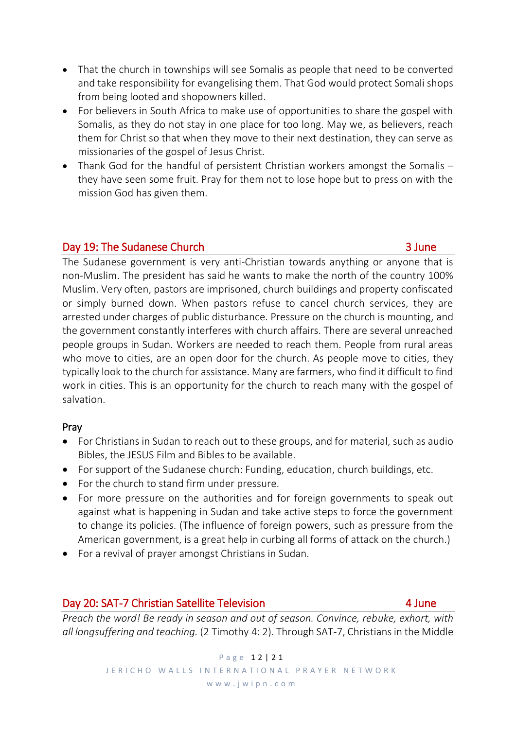- That the church in townships will see Somalis as people that need to be converted and take responsibility for evangelising them. That God would protect Somali shops from being looted and shopowners killed.
- For believers in South Africa to make use of opportunities to share the gospel with Somalis, as they do not stay in one place for too long. May we, as believers, reach them for Christ so that when they move to their next destination, they can serve as missionaries of the gospel of Jesus Christ.
- Thank God for the handful of persistent Christian workers amongst the Somalis they have seen some fruit. Pray for them not to lose hope but to press on with the mission God has given them.

# Day 19: The Sudanese Church 3 June 3 June 3 June 3 June 3 June 3 June 3 June 3 June 3 June 3 June 3 June 3 June 3 June 3 June 3 June 3 June 3 June 3 June 3 June 3 June 3 June 3 June 3 June 3 June 3 June 3 June 3 June 3 Jun

The Sudanese government is very anti-Christian towards anything or anyone that is non-Muslim. The president has said he wants to make the north of the country 100% Muslim. Very often, pastors are imprisoned, church buildings and property confiscated or simply burned down. When pastors refuse to cancel church services, they are arrested under charges of public disturbance. Pressure on the church is mounting, and the government constantly interferes with church affairs. There are several unreached people groups in Sudan. Workers are needed to reach them. People from rural areas who move to cities, are an open door for the church. As people move to cities, they typically look to the church for assistance. Many are farmers, who find it difficult to find work in cities. This is an opportunity for the church to reach many with the gospel of salvation.

# Pray

- For Christians in Sudan to reach out to these groups, and for material, such as audio Bibles, the JESUS Film and Bibles to be available.
- For support of the Sudanese church: Funding, education, church buildings, etc.
- For the church to stand firm under pressure.
- For more pressure on the authorities and for foreign governments to speak out against what is happening in Sudan and take active steps to force the government to change its policies. (The influence of foreign powers, such as pressure from the American government, is a great help in curbing all forms of attack on the church.)
- For a revival of prayer amongst Christians in Sudan.

# Day 20: SAT-7 Christian Satellite Television **Allah Audio Automaker 19 Audio Automaker 19 Audio Audio Audio Audio**

*Preach the word! Be ready in season and out of season. Convince, rebuke, exhort, with all longsuffering and teaching.* (2 Timothy 4: 2). Through SAT-7, Christians in the Middle

> P a g e 12 | 21 JERICHO WALLS INTERNATIONAL PRAYER NETWORK w w w . j w i p n . c o m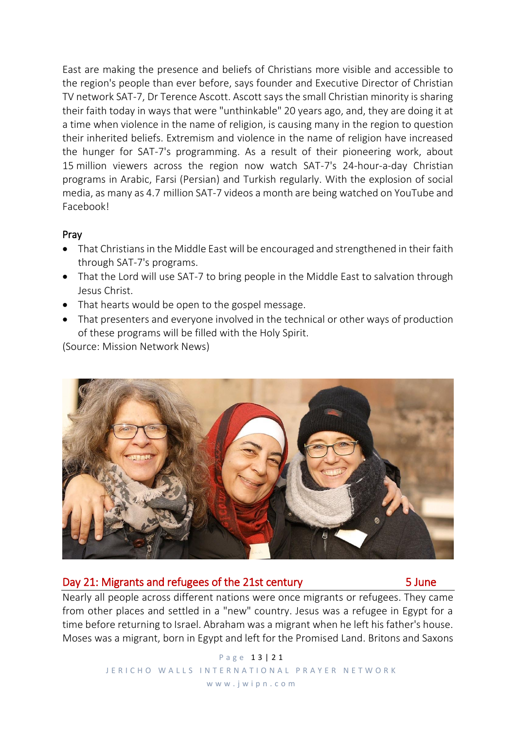East are making the presence and beliefs of Christians more visible and accessible to the region's people than ever before, says founder and Executive Director of Christian TV network SAT-7, Dr Terence Ascott. Ascott says the small Christian minority is sharing their faith today in ways that were "unthinkable" 20 years ago, and, they are doing it at a time when violence in the name of religion, is causing many in the region to question their inherited beliefs. Extremism and violence in the name of religion have increased the hunger for SAT-7's programming. As a result of their pioneering work, about 15 million viewers across the region now watch SAT-7's 24-hour-a-day Christian programs in Arabic, Farsi (Persian) and Turkish regularly. With the explosion of social media, as many as 4.7 million SAT-7 videos a month are being watched on YouTube and Facebook!

## Pray

- That Christians in the Middle East will be encouraged and strengthened in their faith through SAT-7's programs.
- That the Lord will use SAT-7 to bring people in the Middle East to salvation through Jesus Christ.
- That hearts would be open to the gospel message.
- That presenters and everyone involved in the technical or other ways of production of these programs will be filled with the Holy Spirit.

(Source: Mission Network News)



# Day 21: Migrants and refugees of the 21st century Fig. 5 June

Nearly all people across different nations were once migrants or refugees. They came from other places and settled in a "new" country. Jesus was a refugee in Egypt for a time before returning to Israel. Abraham was a migrant when he left his father's house. Moses was a migrant, born in Egypt and left for the Promised Land. Britons and Saxons

> P a g e 1 3 | 2 1 JERICHO WALLS INTERNATIONAL PRAYER NETWORK w w w . j w i p n . c o m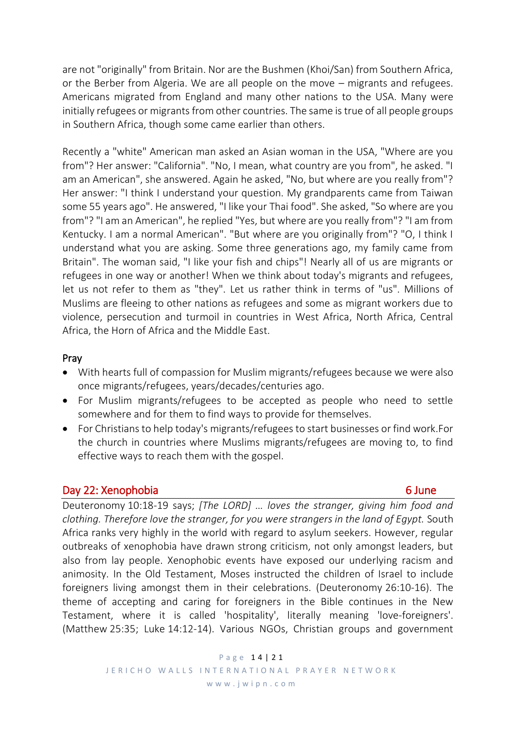are not "originally" from Britain. Nor are the Bushmen (Khoi/San) from Southern Africa, or the Berber from Algeria. We are all people on the move – migrants and refugees. Americans migrated from England and many other nations to the USA. Many were initially refugees or migrants from other countries. The same is true of all people groups in Southern Africa, though some came earlier than others.

Recently a "white" American man asked an Asian woman in the USA, "Where are you from"? Her answer: "California". "No, I mean, what country are you from", he asked. "I am an American", she answered. Again he asked, "No, but where are you really from"? Her answer: "I think I understand your question. My grandparents came from Taiwan some 55 years ago". He answered, "I like your Thai food". She asked, "So where are you from"? "I am an American", he replied "Yes, but where are you really from"? "I am from Kentucky. I am a normal American". "But where are you originally from"? "O, I think I understand what you are asking. Some three generations ago, my family came from Britain". The woman said, "I like your fish and chips"! Nearly all of us are migrants or refugees in one way or another! When we think about today's migrants and refugees, let us not refer to them as "they". Let us rather think in terms of "us". Millions of Muslims are fleeing to other nations as refugees and some as migrant workers due to violence, persecution and turmoil in countries in West Africa, North Africa, Central Africa, the Horn of Africa and the Middle East.

## Pray

- With hearts full of compassion for Muslim migrants/refugees because we were also once migrants/refugees, years/decades/centuries ago.
- For Muslim migrants/refugees to be accepted as people who need to settle somewhere and for them to find ways to provide for themselves.
- For Christians to help today's migrants/refugees to start businesses or find work.For the church in countries where Muslims migrants/refugees are moving to, to find effective ways to reach them with the gospel.

# Day 22: Xenophobia 6 June 10 Australian 10 Australian 10 Australian 10 Australian 10 Australian 10 Australian 1

Deuteronomy 10:18-19 says; *[The LORD] … loves the stranger, giving him food and clothing. Therefore love the stranger, for you were strangers in the land of Egypt.* South Africa ranks very highly in the world with regard to asylum seekers. However, regular outbreaks of xenophobia have drawn strong criticism, not only amongst leaders, but also from lay people. Xenophobic events have exposed our underlying racism and animosity. In the Old Testament, Moses instructed the children of Israel to include foreigners living amongst them in their celebrations. (Deuteronomy 26:10-16). The theme of accepting and caring for foreigners in the Bible continues in the New Testament, where it is called 'hospitality', literally meaning 'love-foreigners'. (Matthew 25:35; Luke 14:12-14). Various NGOs, Christian groups and government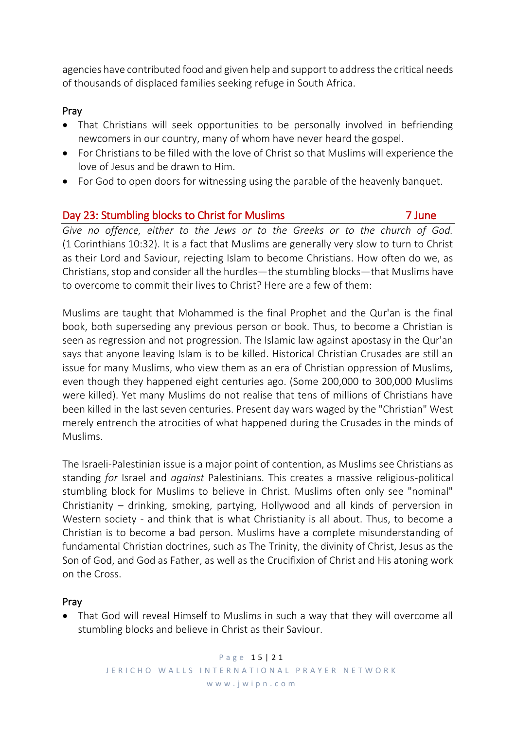agencies have contributed food and given help and support to address the critical needs of thousands of displaced families seeking refuge in South Africa.

# Pray

- That Christians will seek opportunities to be personally involved in befriending newcomers in our country, many of whom have never heard the gospel.
- For Christians to be filled with the love of Christ so that Muslims will experience the love of Jesus and be drawn to Him.
- For God to open doors for witnessing using the parable of the heavenly banquet.

# Day 23: Stumbling blocks to Christ for Muslims 7 June

*Give no offence, either to the Jews or to the Greeks or to the church of God.* (1 Corinthians 10:32). It is a fact that Muslims are generally very slow to turn to Christ as their Lord and Saviour, rejecting Islam to become Christians. How often do we, as Christians, stop and consider all the hurdles—the stumbling blocks—that Muslims have to overcome to commit their lives to Christ? Here are a few of them:

Muslims are taught that Mohammed is the final Prophet and the Qur'an is the final book, both superseding any previous person or book. Thus, to become a Christian is seen as regression and not progression. The Islamic law against apostasy in the Qur'an says that anyone leaving Islam is to be killed. Historical Christian Crusades are still an issue for many Muslims, who view them as an era of Christian oppression of Muslims, even though they happened eight centuries ago. (Some 200,000 to 300,000 Muslims were killed). Yet many Muslims do not realise that tens of millions of Christians have been killed in the last seven centuries. Present day wars waged by the "Christian" West merely entrench the atrocities of what happened during the Crusades in the minds of Muslims.

The Israeli-Palestinian issue is a major point of contention, as Muslims see Christians as standing *for* Israel and *against* Palestinians. This creates a massive religious-political stumbling block for Muslims to believe in Christ. Muslims often only see "nominal" Christianity – drinking, smoking, partying, Hollywood and all kinds of perversion in Western society - and think that is what Christianity is all about. Thus, to become a Christian is to become a bad person. Muslims have a complete misunderstanding of fundamental Christian doctrines, such as The Trinity, the divinity of Christ, Jesus as the Son of God, and God as Father, as well as the Crucifixion of Christ and His atoning work on the Cross.

# Pray

• That God will reveal Himself to Muslims in such a way that they will overcome all stumbling blocks and believe in Christ as their Saviour.

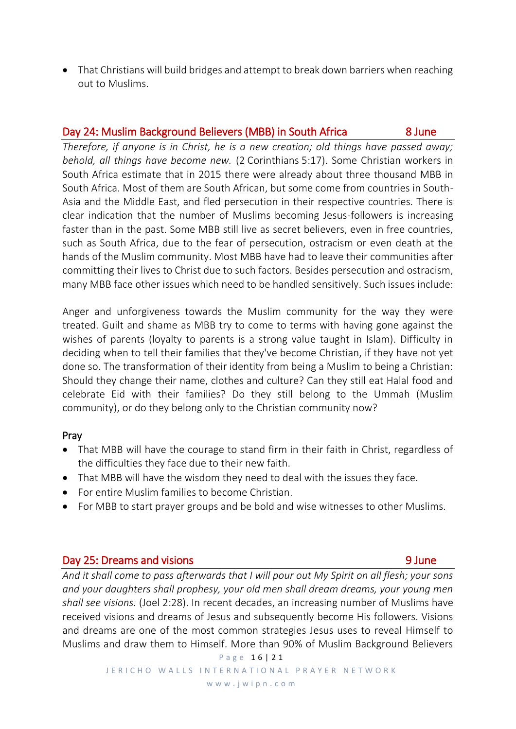• That Christians will build bridges and attempt to break down barriers when reaching out to Muslims.

# Day 24: Muslim Background Believers (MBB) in South Africa 8 June

*Therefore, if anyone is in Christ, he is a new creation; old things have passed away; behold, all things have become new.* (2 Corinthians 5:17). Some Christian workers in South Africa estimate that in 2015 there were already about three thousand MBB in South Africa. Most of them are South African, but some come from countries in South-Asia and the Middle East, and fled persecution in their respective countries. There is clear indication that the number of Muslims becoming Jesus-followers is increasing faster than in the past. Some MBB still live as secret believers, even in free countries, such as South Africa, due to the fear of persecution, ostracism or even death at the hands of the Muslim community. Most MBB have had to leave their communities after committing their lives to Christ due to such factors. Besides persecution and ostracism, many MBB face other issues which need to be handled sensitively. Such issues include:

Anger and unforgiveness towards the Muslim community for the way they were treated. Guilt and shame as MBB try to come to terms with having gone against the wishes of parents (loyalty to parents is a strong value taught in Islam). Difficulty in deciding when to tell their families that they've become Christian, if they have not yet done so. The transformation of their identity from being a Muslim to being a Christian: Should they change their name, clothes and culture? Can they still eat Halal food and celebrate Eid with their families? Do they still belong to the Ummah (Muslim community), or do they belong only to the Christian community now?

# Pray

- That MBB will have the courage to stand firm in their faith in Christ, regardless of the difficulties they face due to their new faith.
- That MBB will have the wisdom they need to deal with the issues they face.
- For entire Muslim families to become Christian.
- For MBB to start prayer groups and be bold and wise witnesses to other Muslims.

# Day 25: Dreams and visions 9 June 10 Australian 10 Australian 10 Australian 10 Australian 10 Australian 10 Australia

*And it shall come to pass afterwards that I will pour out My Spirit on all flesh; your sons and your daughters shall prophesy, your old men shall dream dreams, your young men shall see visions.* (Joel 2:28). In recent decades, an increasing number of Muslims have received visions and dreams of Jesus and subsequently become His followers. Visions and dreams are one of the most common strategies Jesus uses to reveal Himself to Muslims and draw them to Himself. More than 90% of Muslim Background Believers

w w w . j w i p n . c o m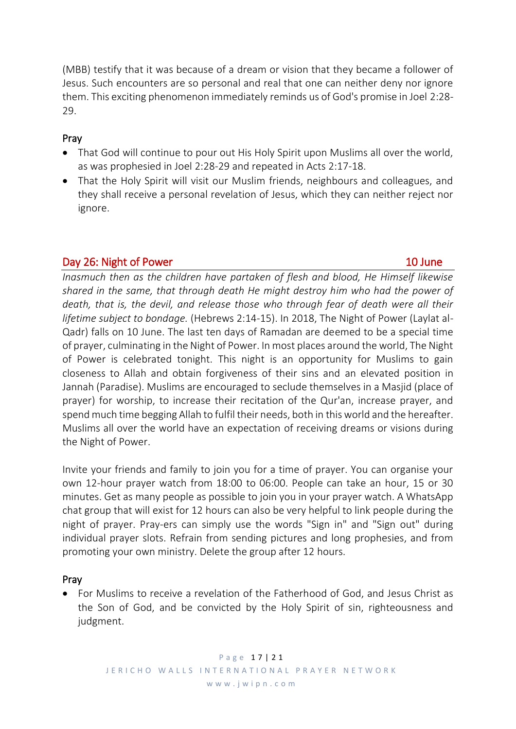(MBB) testify that it was because of a dream or vision that they became a follower of Jesus. Such encounters are so personal and real that one can neither deny nor ignore them. This exciting phenomenon immediately reminds us of God's promise in Joel 2:28- 29.

# Pray

- That God will continue to pour out His Holy Spirit upon Muslims all over the world, as was prophesied in Joel 2:28-29 and repeated in Acts 2:17-18.
- That the Holy Spirit will visit our Muslim friends, neighbours and colleagues, and they shall receive a personal revelation of Jesus, which they can neither reject nor ignore.

# Day 26: Night of Power 10 June 10 June 10 June 10 June 10 June 10 June 10 June 10 June 10 June 10 June 10 June 10 June 10 June 10 June 10 June 10 June 10 June 10 June 10 June 10 June 10 June 10 June 10 June 10 June 10 June

*Inasmuch then as the children have partaken of flesh and blood, He Himself likewise shared in the same, that through death He might destroy him who had the power of death, that is, the devil, and release those who through fear of death were all their lifetime subject to bondage.* (Hebrews 2:14-15). In 2018, The Night of Power (Laylat al-Qadr) falls on 10 June. The last ten days of Ramadan are deemed to be a special time of prayer, culminating in the Night of Power. In most places around the world, The Night of Power is celebrated tonight. This night is an opportunity for Muslims to gain closeness to Allah and obtain forgiveness of their sins and an elevated position in Jannah (Paradise). Muslims are encouraged to seclude themselves in a Masjid (place of prayer) for worship, to increase their recitation of the Qur'an, increase prayer, and spend much time begging Allah to fulfil their needs, both in this world and the hereafter. Muslims all over the world have an expectation of receiving dreams or visions during the Night of Power.

Invite your friends and family to join you for a time of prayer. You can organise your own 12-hour prayer watch from 18:00 to 06:00. People can take an hour, 15 or 30 minutes. Get as many people as possible to join you in your prayer watch. A WhatsApp chat group that will exist for 12 hours can also be very helpful to link people during the night of prayer. Pray-ers can simply use the words "Sign in" and "Sign out" during individual prayer slots. Refrain from sending pictures and long prophesies, and from promoting your own ministry. Delete the group after 12 hours.

# Pray

• For Muslims to receive a revelation of the Fatherhood of God, and Jesus Christ as the Son of God, and be convicted by the Holy Spirit of sin, righteousness and judgment.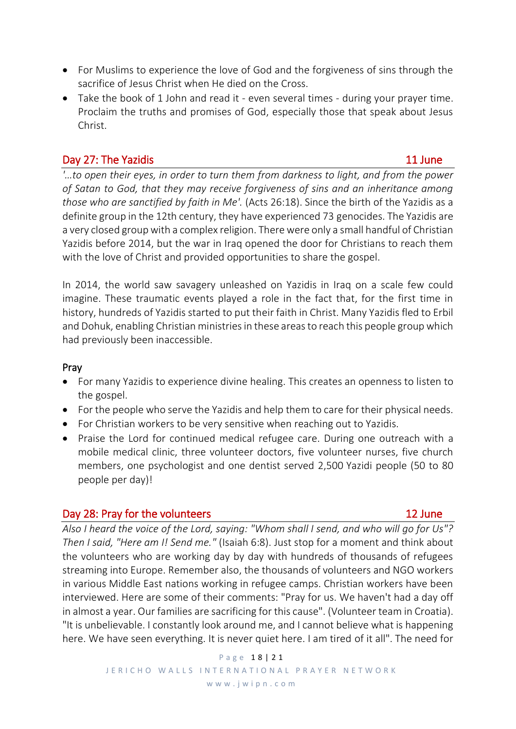- For Muslims to experience the love of God and the forgiveness of sins through the sacrifice of Jesus Christ when He died on the Cross.
- Take the book of 1 John and read it even several times during your prayer time. Proclaim the truths and promises of God, especially those that speak about Jesus Christ.

# Day 27: The Yazidis and the Samuel Control of the Samuel Control of the Samuel Control of the Samuel Control of the Samuel Control of the Samuel Control of the Samuel Control of the Samuel Control of the Samuel Control of

*'…to open their eyes, in order to turn them from darkness to light, and from the power of Satan to God, that they may receive forgiveness of sins and an inheritance among those who are sanctified by faith in Me'.* (Acts 26:18). Since the birth of the Yazidis as a definite group in the 12th century, they have experienced 73 genocides. The Yazidis are a very closed group with a complex religion. There were only a small handful of Christian Yazidis before 2014, but the war in Iraq opened the door for Christians to reach them with the love of Christ and provided opportunities to share the gospel.

In 2014, the world saw savagery unleashed on Yazidis in Iraq on a scale few could imagine. These traumatic events played a role in the fact that, for the first time in history, hundreds of Yazidis started to put their faith in Christ. Many Yazidis fled to Erbil and Dohuk, enabling Christian ministries in these areas to reach this people group which had previously been inaccessible.

# Pray

- For many Yazidis to experience divine healing. This creates an openness to listen to the gospel.
- For the people who serve the Yazidis and help them to care for their physical needs.
- For Christian workers to be very sensitive when reaching out to Yazidis.
- Praise the Lord for continued medical refugee care. During one outreach with a mobile medical clinic, three volunteer doctors, five volunteer nurses, five church members, one psychologist and one dentist served 2,500 Yazidi people (50 to 80 people per day)!

# Day 28: Pray for the volunteers 12 June

# *Also I heard the voice of the Lord, saying: "Whom shall I send, and who will go for Us"? Then I said, "Here am I! Send me."* (Isaiah 6:8). Just stop for a moment and think about the volunteers who are working day by day with hundreds of thousands of refugees streaming into Europe. Remember also, the thousands of volunteers and NGO workers in various Middle East nations working in refugee camps. Christian workers have been interviewed. Here are some of their comments: "Pray for us. We haven't had a day off in almost a year. Our families are sacrificing for this cause". (Volunteer team in Croatia). "It is unbelievable. I constantly look around me, and I cannot believe what is happening here. We have seen everything. It is never quiet here. I am tired of it all". The need for

P a g e 1 8 | 2 1 JERICHO WALLS INTERNATIONAL PRAYER NETWORK w w w . j w i p n . c o m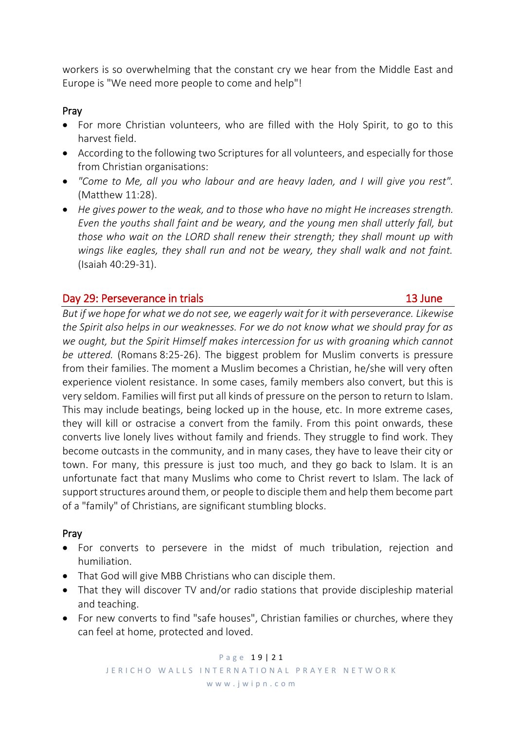workers is so overwhelming that the constant cry we hear from the Middle East and Europe is "We need more people to come and help"!

## Pray

- For more Christian volunteers, who are filled with the Holy Spirit, to go to this harvest field.
- According to the following two Scriptures for all volunteers, and especially for those from Christian organisations:
- *"Come to Me, all you who labour and are heavy laden, and I will give you rest".* (Matthew 11:28).
- *He gives power to the weak, and to those who have no might He increases strength. Even the youths shall faint and be weary, and the young men shall utterly fall, but those who wait on the LORD shall renew their strength; they shall mount up with wings like eagles, they shall run and not be weary, they shall walk and not faint.* (Isaiah 40:29-31).

# Day 29: Perseverance in trials 13 June

# *But if we hope for what we do not see, we eagerly wait for it with perseverance. Likewise the Spirit also helps in our weaknesses. For we do not know what we should pray for as we ought, but the Spirit Himself makes intercession for us with groaning which cannot be uttered.* (Romans 8:25-26). The biggest problem for Muslim converts is pressure from their families. The moment a Muslim becomes a Christian, he/she will very often experience violent resistance. In some cases, family members also convert, but this is very seldom. Families will first put all kinds of pressure on the person to return to Islam. This may include beatings, being locked up in the house, etc. In more extreme cases, they will kill or ostracise a convert from the family. From this point onwards, these converts live lonely lives without family and friends. They struggle to find work. They become outcasts in the community, and in many cases, they have to leave their city or town. For many, this pressure is just too much, and they go back to Islam. It is an unfortunate fact that many Muslims who come to Christ revert to Islam. The lack of support structures around them, or people to disciple them and help them become part of a "family" of Christians, are significant stumbling blocks.

# Pray

- For converts to persevere in the midst of much tribulation, rejection and humiliation.
- That God will give MBB Christians who can disciple them.
- That they will discover TV and/or radio stations that provide discipleship material and teaching.
- For new converts to find "safe houses", Christian families or churches, where they can feel at home, protected and loved.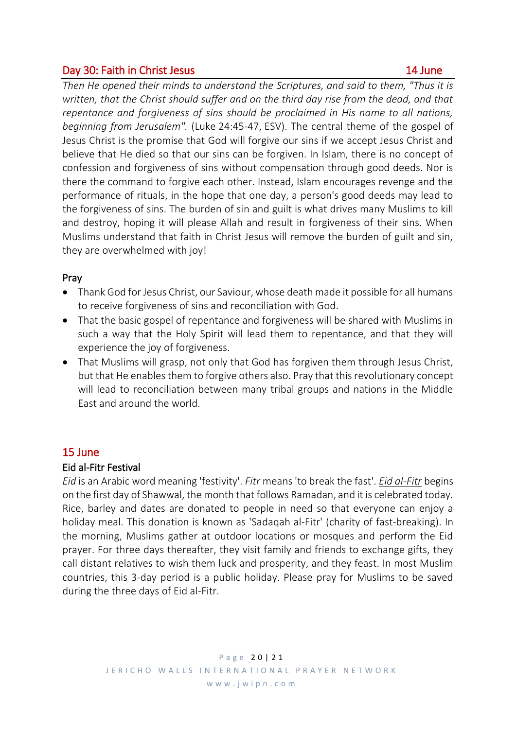# Day 30: Faith in Christ Jesus 14 June

*Then He opened their minds to understand the Scriptures, and said to them, "Thus it is written, that the Christ should suffer and on the third day rise from the dead, and that repentance and forgiveness of sins should be proclaimed in His name to all nations, beginning from Jerusalem".* (Luke 24:45-47, ESV). The central theme of the gospel of Jesus Christ is the promise that God will forgive our sins if we accept Jesus Christ and believe that He died so that our sins can be forgiven. In Islam, there is no concept of confession and forgiveness of sins without compensation through good deeds. Nor is there the command to forgive each other. Instead, Islam encourages revenge and the performance of rituals, in the hope that one day, a person's good deeds may lead to the forgiveness of sins. The burden of sin and guilt is what drives many Muslims to kill and destroy, hoping it will please Allah and result in forgiveness of their sins. When Muslims understand that faith in Christ Jesus will remove the burden of guilt and sin, they are overwhelmed with joy!

# Pray

- Thank God for Jesus Christ, our Saviour, whose death made it possible for all humans to receive forgiveness of sins and reconciliation with God.
- That the basic gospel of repentance and forgiveness will be shared with Muslims in such a way that the Holy Spirit will lead them to repentance, and that they will experience the joy of forgiveness.
- That Muslims will grasp, not only that God has forgiven them through Jesus Christ, but that He enables them to forgive others also. Pray that this revolutionary concept will lead to reconciliation between many tribal groups and nations in the Middle East and around the world.

# 15 June

# Eid al-Fitr Festival

*Eid* is an Arabic word meaning 'festivity'. *Fitr* means 'to break the fast'. *[Eid al-Fitr](http://www.when-is.com/eid-al-fitr-2017.asp)* begins on the first day of Shawwal, the month that follows Ramadan, and it is celebrated today. Rice, barley and dates are donated to people in need so that everyone can enjoy a holiday meal. This donation is known as 'Sadaqah al-Fitr' (charity of fast-breaking). In the morning, Muslims gather at outdoor locations or mosques and perform the Eid prayer. For three days thereafter, they visit family and friends to exchange gifts, they call distant relatives to wish them luck and prosperity, and they feast. In most Muslim countries, this 3-day period is a public holiday. Please pray for Muslims to be saved during the three days of Eid al-Fitr.